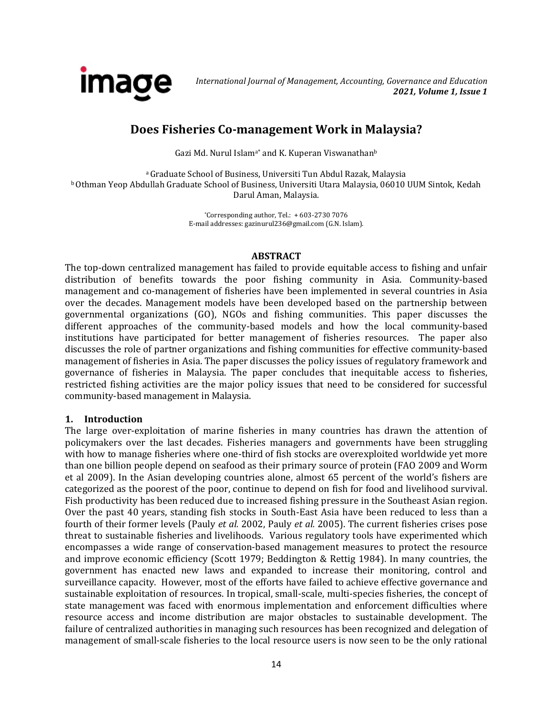

# **Does Fisheries Co-management Work in Malaysia?**

Gazi Md. Nurul Islam<sup>a\*</sup> and K. Kuperan Viswanathan<sup>b</sup>

<sup>a</sup>Graduate School of Business, Universiti Tun Abdul Razak, Malaysia **b Othman Yeop Abdullah Graduate School of Business, Universiti Utara Malaysia, 06010 UUM Sintok, Kedah** Darul Aman, Malaysia.

> $*$ Corresponding author, Tel.:  $+603-2730776$ E-mail addresses[: gazinurul236@gmail.com](mailto:gazinurul236@gmail.com) (G.N. Islam).

## **ABSTRACT**

The top-down centralized management has failed to provide equitable access to fishing and unfair distribution of benefits towards the poor fishing community in Asia. Community-based management and co-management of fisheries have been implemented in several countries in Asia over the decades. Management models have been developed based on the partnership between governmental organizations (GO), NGOs and fishing communities. This paper discusses the different approaches of the community-based models and how the local community-based institutions have participated for better management of fisheries resources. The paper also discusses the role of partner organizations and fishing communities for effective community-based management of fisheries in Asia. The paper discusses the policy issues of regulatory framework and governance of fisheries in Malaysia. The paper concludes that inequitable access to fisheries, restricted fishing activities are the major policy issues that need to be considered for successful community-based management in Malaysia.

# **1. Introduction**

The large over-exploitation of marine fisheries in many countries has drawn the attention of policymakers over the last decades. Fisheries managers and governments have been struggling with how to manage fisheries where one-third of fish stocks are overexploited worldwide yet more than one billion people depend on seafood as their primary source of protein (FAO 2009 and Worm et al 2009). In the Asian developing countries alone, almost 65 percent of the world's fishers are categorized as the poorest of the poor, continue to depend on fish for food and livelihood survival. Fish productivity has been reduced due to increased fishing pressure in the Southeast Asian region. Over the past 40 years, standing fish stocks in South-East Asia have been reduced to less than a fourth of their former levels (Pauly *et al.* 2002, Pauly *et al.* 2005). The current fisheries crises pose threat to sustainable fisheries and livelihoods. Various regulatory tools have experimented which encompasses a wide range of conservation-based management measures to protect the resource and improve economic efficiency (Scott 1979; Beddington & Rettig 1984). In many countries, the government has enacted new laws and expanded to increase their monitoring, control and surveillance capacity. However, most of the efforts have failed to achieve effective governance and sustainable exploitation of resources. In tropical, small-scale, multi-species fisheries, the concept of state management was faced with enormous implementation and enforcement difficulties where resource access and income distribution are major obstacles to sustainable development. The failure of centralized authorities in managing such resources has been recognized and delegation of management of small-scale fisheries to the local resource users is now seen to be the only rational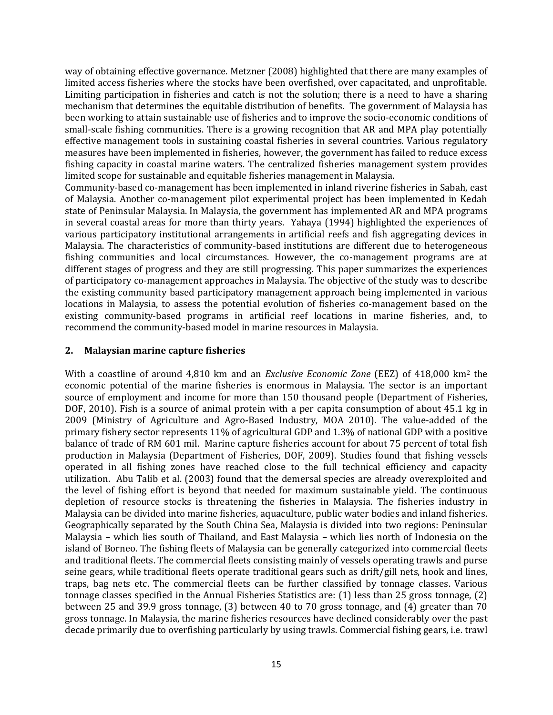way of obtaining effective governance. Metzner (2008) highlighted that there are many examples of limited access fisheries where the stocks have been overfished, over capacitated, and unprofitable. Limiting participation in fisheries and catch is not the solution; there is a need to have a sharing mechanism that determines the equitable distribution of benefits. The government of Malaysia has been working to attain sustainable use of fisheries and to improve the socio-economic conditions of small-scale fishing communities. There is a growing recognition that AR and MPA play potentially effective management tools in sustaining coastal fisheries in several countries. Various regulatory measures have been implemented in fisheries, however, the government has failed to reduce excess fishing capacity in coastal marine waters. The centralized fisheries management system provides limited scope for sustainable and equitable fisheries management in Malaysia.

Community-based co-management has been implemented in inland riverine fisheries in Sabah, east of Malaysia. Another co-management pilot experimental project has been implemented in Kedah state of Peninsular Malaysia. In Malaysia, the government has implemented AR and MPA programs in several coastal areas for more than thirty years. Yahaya (1994) highlighted the experiences of various participatory institutional arrangements in artificial reefs and fish aggregating devices in Malaysia. The characteristics of community-based institutions are different due to heterogeneous fishing communities and local circumstances. However, the co-management programs are at different stages of progress and they are still progressing. This paper summarizes the experiences of participatory co-management approaches in Malaysia. The objective of the study was to describe the existing community based participatory management approach being implemented in various locations in Malaysia, to assess the potential evolution of fisheries co-management based on the existing community-based programs in artificial reef locations in marine fisheries, and, to recommend the community-based model in marine resources in Malaysia.

#### **2. Malaysian marine capture fisheries**

With a coastline of around 4,810 km and an *Exclusive Economic Zone* (EEZ) of 418,000 km<sup>2</sup> the economic potential of the marine fisheries is enormous in Malaysia. The sector is an important source of employment and income for more than 150 thousand people (Department of Fisheries, DOF, 2010). Fish is a source of animal protein with a per capita consumption of about 45.1 kg in 2009 (Ministry of Agriculture and Agro-Based Industry, MOA 2010). The value-added of the primary fishery sector represents 11% of agricultural GDP and 1.3% of national GDP with a positive balance of trade of RM 601 mil. Marine capture fisheries account for about 75 percent of total fish production in Malaysia (Department of Fisheries, DOF, 2009). Studies found that fishing vessels operated in all fishing zones have reached close to the full technical efficiency and capacity utilization. Abu Talib et al. (2003) found that the demersal species are already overexploited and the level of fishing effort is beyond that needed for maximum sustainable yield. The continuous depletion of resource stocks is threatening the fisheries in Malaysia. The fisheries industry in Malaysia can be divided into marine fisheries, aquaculture, public water bodies and inland fisheries. Geographically separated by the South China Sea, Malaysia is divided into two regions: Peninsular Malaysia – which lies south of Thailand, and East Malaysia – which lies north of Indonesia on the island of Borneo. The fishing fleets of Malaysia can be generally categorized into commercial fleets and traditional fleets. The commercial fleets consisting mainly of vessels operating trawls and purse seine gears, while traditional fleets operate traditional gears such as drift/gill nets, hook and lines, traps, bag nets etc. The commercial fleets can be further classified by tonnage classes. Various tonnage classes specified in the Annual Fisheries Statistics are: (1) less than 25 gross tonnage, (2) between 25 and 39.9 gross tonnage, (3) between 40 to 70 gross tonnage, and (4) greater than 70 gross tonnage. In Malaysia, the marine fisheries resources have declined considerably over the past decade primarily due to overfishing particularly by using trawls. Commercial fishing gears, i.e. trawl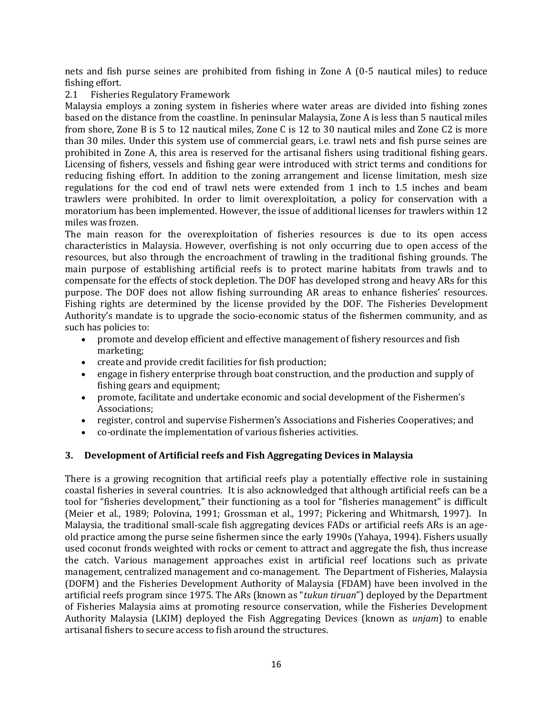nets and fish purse seines are prohibited from fishing in Zone A (0-5 nautical miles) to reduce fishing effort.

## 2.1 Fisheries Regulatory Framework

Malaysia employs a zoning system in fisheries where water areas are divided into fishing zones based on the distance from the coastline. In peninsular Malaysia, Zone A is less than 5 nautical miles from shore, Zone B is 5 to 12 nautical miles, Zone C is 12 to 30 nautical miles and Zone C2 is more than 30 miles. Under this system use of commercial gears, i.e. trawl nets and fish purse seines are prohibited in Zone A, this area is reserved for the artisanal fishers using traditional fishing gears. Licensing of fishers, vessels and fishing gear were introduced with strict terms and conditions for reducing fishing effort. In addition to the zoning arrangement and license limitation, mesh size regulations for the cod end of trawl nets were extended from 1 inch to 1.5 inches and beam trawlers were prohibited. In order to limit overexploitation, a policy for conservation with a moratorium has been implemented. However, the issue of additional licenses for trawlers within 12 miles was frozen.

The main reason for the overexploitation of fisheries resources is due to its open access characteristics in Malaysia. However, overfishing is not only occurring due to open access of the resources, but also through the encroachment of trawling in the traditional fishing grounds. The main purpose of establishing artificial reefs is to protect marine habitats from trawls and to compensate for the effects of stock depletion. The DOF has developed strong and heavy ARs for this purpose. The DOF does not allow fishing surrounding AR areas to enhance fisheries' resources. Fishing rights are determined by the license provided by the DOF. The Fisheries Development Authority's mandate is to upgrade the socio-economic status of the fishermen community, and as such has policies to:

- promote and develop efficient and effective management of fishery resources and fish marketing;
- create and provide credit facilities for fish production;
- engage in fishery enterprise through boat construction, and the production and supply of fishing gears and equipment;
- promote, facilitate and undertake economic and social development of the Fishermen's Associations;
- register, control and supervise Fishermen's Associations and Fisheries Cooperatives; and
- co-ordinate the implementation of various fisheries activities.

# **3. Development of Artificial reefs and Fish Aggregating Devices in Malaysia**

There is a growing recognition that artificial reefs play a potentially effective role in sustaining coastal fisheries in several countries. It is also acknowledged that although artificial reefs can be a tool for "fisheries development," their functioning as a tool for "fisheries management" is difficult (Meier et al., 1989; Polovina, 1991; Grossman et al., 1997; Pickering and Whitmarsh, 1997). In Malaysia, the traditional small-scale fish aggregating devices FADs or artificial reefs ARs is an ageold practice among the purse seine fishermen since the early 1990s (Yahaya, 1994). Fishers usually used coconut fronds weighted with rocks or cement to attract and aggregate the fish, thus increase the catch. Various management approaches exist in artificial reef locations such as private management, centralized management and co-management. The Department of Fisheries, Malaysia (DOFM) and the Fisheries Development Authority of Malaysia (FDAM) have been involved in the artificial reefs program since 1975. The ARs (known as "*tukun tiruan*") deployed by the Department of Fisheries Malaysia aims at promoting resource conservation, while the Fisheries Development Authority Malaysia (LKIM) deployed the Fish Aggregating Devices (known as *unjam*) to enable artisanal fishers to secure access to fish around the structures.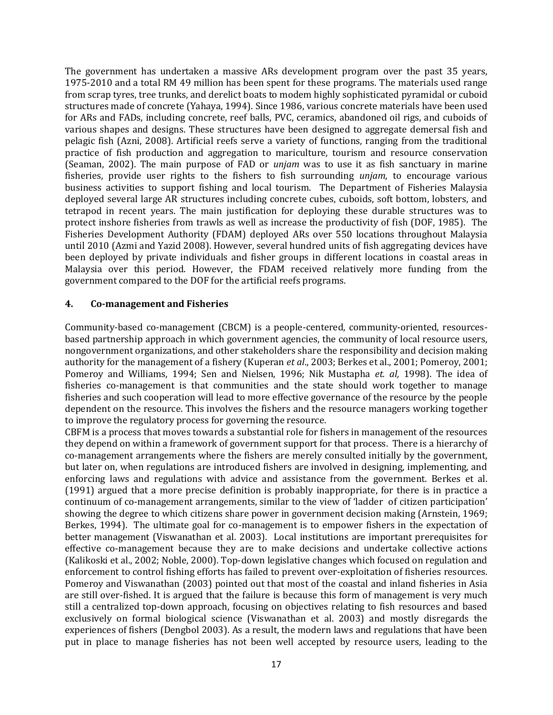The government has undertaken a massive ARs development program over the past 35 years, 1975-2010 and a total RM 49 million has been spent for these programs. The materials used range from scrap tyres, tree trunks, and derelict boats to modem highly sophisticated pyramidal or cuboid structures made of concrete (Yahaya, 1994). Since 1986, various concrete materials have been used for ARs and FADs, including concrete, reef balls, PVC, ceramics, abandoned oil rigs, and cuboids of various shapes and designs. These structures have been designed to aggregate demersal fish and pelagic fish (Azni, 2008). Artificial reefs serve a variety of functions, ranging from the traditional practice of fish production and aggregation to mariculture, tourism and resource conservation (Seaman, 2002). The main purpose of FAD or *unjam* was to use it as fish sanctuary in marine fisheries, provide user rights to the fishers to fish surrounding *unjam*, to encourage various business activities to support fishing and local tourism. The Department of Fisheries Malaysia deployed several large AR structures including concrete cubes, cuboids, soft bottom, lobsters, and tetrapod in recent years. The main justification for deploying these durable structures was to protect inshore fisheries from trawls as well as increase the productivity of fish (DOF, 1985). The Fisheries Development Authority (FDAM) deployed ARs over 550 locations throughout Malaysia until 2010 (Azmi and Yazid 2008). However, several hundred units of fish aggregating devices have been deployed by private individuals and fisher groups in different locations in coastal areas in Malaysia over this period. However, the FDAM received relatively more funding from the government compared to the DOF for the artificial reefs programs.

#### **4. Co-management and Fisheries**

Community-based co-management (CBCM) is a people-centered, community-oriented, resourcesbased partnership approach in which government agencies, the community of local resource users, nongovernment organizations, and other stakeholders share the responsibility and decision making authority for the management of a fishery (Kuperan *et al*., 2003; Berkes et al., 2001; Pomeroy, 2001; Pomeroy and Williams, 1994; Sen and Nielsen, 1996; Nik Mustapha *et. al,* 1998). The idea of fisheries co-management is that communities and the state should work together to manage fisheries and such cooperation will lead to more effective governance of the resource by the people dependent on the resource. This involves the fishers and the resource managers working together to improve the regulatory process for governing the resource.

CBFM is a process that moves towards a substantial role for fishers in management of the resources they depend on within a framework of government support for that process. There is a hierarchy of co-management arrangements where the fishers are merely consulted initially by the government, but later on, when regulations are introduced fishers are involved in designing, implementing, and enforcing laws and regulations with advice and assistance from the government. Berkes et al. (1991) argued that a more precise definition is probably inappropriate, for there is in practice a continuum of co-management arrangements, similar to the view of 'ladder of citizen participation' showing the degree to which citizens share power in government decision making (Arnstein, 1969; Berkes, 1994). The ultimate goal for co-management is to empower fishers in the expectation of better management (Viswanathan et al. 2003). Local institutions are important prerequisites for effective co-management because they are to make decisions and undertake collective actions (Kalikoski et al., 2002; Noble, 2000). Top-down legislative changes which focused on regulation and enforcement to control fishing efforts has failed to prevent over-exploitation of fisheries resources. Pomeroy and Viswanathan (2003) pointed out that most of the coastal and inland fisheries in Asia are still over-fished. It is argued that the failure is because this form of management is very much still a centralized top-down approach, focusing on objectives relating to fish resources and based exclusively on formal biological science (Viswanathan et al. 2003) and mostly disregards the experiences of fishers (Dengbol 2003). As a result, the modern laws and regulations that have been put in place to manage fisheries has not been well accepted by resource users, leading to the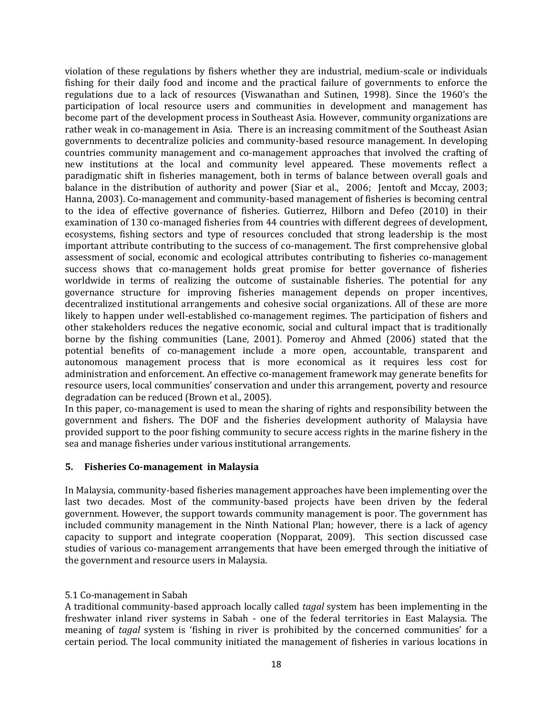violation of these regulations by fishers whether they are industrial, medium-scale or individuals fishing for their daily food and income and the practical failure of governments to enforce the regulations due to a lack of resources (Viswanathan and Sutinen, 1998). Since the 1960's the participation of local resource users and communities in development and management has become part of the development process in Southeast Asia. However, community organizations are rather weak in co-management in Asia. There is an increasing commitment of the Southeast Asian governments to decentralize policies and community-based resource management. In developing countries community management and co-management approaches that involved the crafting of new institutions at the local and community level appeared. These movements reflect a paradigmatic shift in fisheries management, both in terms of balance between overall goals and balance in the distribution of authority and power (Siar et al., 2006; Jentoft and Mccay, 2003; Hanna, 2003). Co-management and community-based management of fisheries is becoming central to the idea of effective governance of fisheries. Gutierrez, Hilborn and Defeo (2010) in their examination of 130 co-managed fisheries from 44 countries with different degrees of development, ecosystems, fishing sectors and type of resources concluded that strong leadership is the most important attribute contributing to the success of co-management. The first comprehensive global assessment of social, economic and ecological attributes contributing to fisheries co-management success shows that co-management holds great promise for better governance of fisheries worldwide in terms of realizing the outcome of sustainable fisheries. The potential for any governance structure for improving fisheries management depends on proper incentives, decentralized institutional arrangements and cohesive social organizations. All of these are more likely to happen under well-established co-management regimes. The participation of fishers and other stakeholders reduces the negative economic, social and cultural impact that is traditionally borne by the fishing communities (Lane, 2001). Pomeroy and Ahmed (2006) stated that the potential benefits of co-management include a more open, accountable, transparent and autonomous management process that is more economical as it requires less cost for administration and enforcement. An effective co-management framework may generate benefits for resource users, local communities' conservation and under this arrangement, poverty and resource degradation can be reduced (Brown et al., 2005).

In this paper, co-management is used to mean the sharing of rights and responsibility between the government and fishers. The DOF and the fisheries development authority of Malaysia have provided support to the poor fishing community to secure access rights in the marine fishery in the sea and manage fisheries under various institutional arrangements.

#### **5. Fisheries Co-management in Malaysia**

In Malaysia, community-based fisheries management approaches have been implementing over the last two decades. Most of the community-based projects have been driven by the federal government. However, the support towards community management is poor. The government has included community management in the Ninth National Plan; however, there is a lack of agency capacity to support and integrate cooperation (Nopparat, 2009). This section discussed case studies of various co-management arrangements that have been emerged through the initiative of the government and resource users in Malaysia.

#### 5.1 Co-management in Sabah

A traditional community-based approach locally called *tagal* system has been implementing in the freshwater inland river systems in Sabah - one of the federal territories in East Malaysia. The meaning of *tagal* system is 'fishing in river is prohibited by the concerned communities' for a certain period. The local community initiated the management of fisheries in various locations in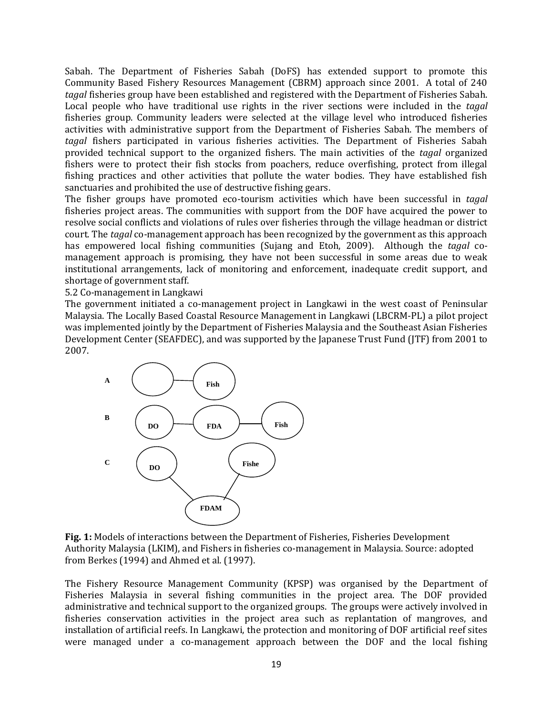Sabah. The Department of Fisheries Sabah (DoFS) has extended support to promote this Community Based Fishery Resources Management (CBRM) approach since 2001. A total of 240 *tagal* fisheries group have been established and registered with the Department of Fisheries Sabah. Local people who have traditional use rights in the river sections were included in the *tagal*  fisheries group. Community leaders were selected at the village level who introduced fisheries activities with administrative support from the Department of Fisheries Sabah. The members of *tagal* fishers participated in various fisheries activities. The Department of Fisheries Sabah provided technical support to the organized fishers. The main activities of the *tagal* organized fishers were to protect their fish stocks from poachers, reduce overfishing, protect from illegal fishing practices and other activities that pollute the water bodies. They have established fish sanctuaries and prohibited the use of destructive fishing gears.

The fisher groups have promoted eco-tourism activities which have been successful in *tagal* fisheries project areas. The communities with support from the DOF have acquired the power to resolve social conflicts and violations of rules over fisheries through the village headman or district court. The *tagal* co-management approach has been recognized by the government as this approach has empowered local fishing communities (Sujang and Etoh, 2009). Although the *tagal* comanagement approach is promising, they have not been successful in some areas due to weak institutional arrangements, lack of monitoring and enforcement, inadequate credit support, and shortage of government staff.

#### 5.2 Co-management in Langkawi

The government initiated a co-management project in Langkawi in the west coast of Peninsular Malaysia. The Locally Based Coastal Resource Management in Langkawi (LBCRM-PL) a pilot project was implemented jointly by the Department of Fisheries Malaysia and the Southeast Asian Fisheries Development Center (SEAFDEC), and was supported by the Japanese Trust Fund (JTF) from 2001 to 2007.



**Fig. 1:** Models of interactions between the Department of Fisheries, Fisheries Development Authority Malaysia (LKIM), and Fishers in fisheries co-management in Malaysia. Source: adopted from Berkes (1994) and Ahmed et al. (1997).

The Fishery Resource Management Community (KPSP) was organised by the Department of Fisheries Malaysia in several fishing communities in the project area. The DOF provided administrative and technical support to the organized groups. The groups were actively involved in fisheries conservation activities in the project area such as replantation of mangroves, and installation of artificial reefs. In Langkawi, the protection and monitoring of DOF artificial reef sites were managed under a co-management approach between the DOF and the local fishing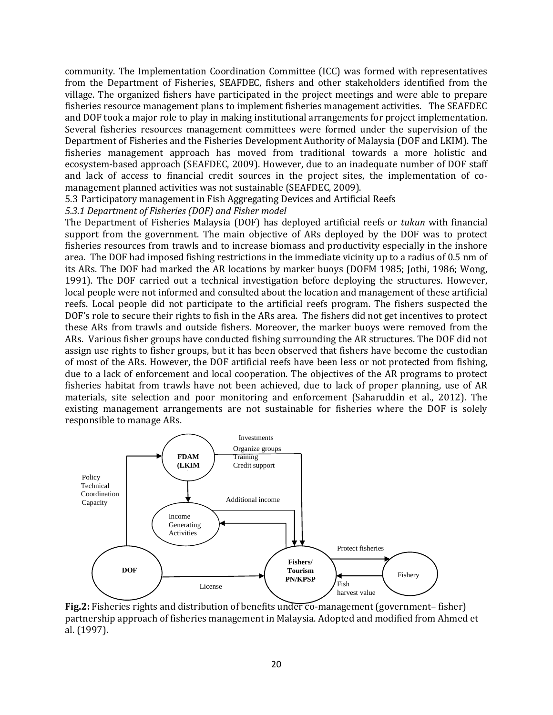community. The Implementation Coordination Committee (ICC) was formed with representatives from the Department of Fisheries, SEAFDEC, fishers and other stakeholders identified from the village. The organized fishers have participated in the project meetings and were able to prepare fisheries resource management plans to implement fisheries management activities. The SEAFDEC and DOF took a major role to play in making institutional arrangements for project implementation. Several fisheries resources management committees were formed under the supervision of the Department of Fisheries and the Fisheries Development Authority of Malaysia (DOF and LKIM). The fisheries management approach has moved from traditional towards a more holistic and ecosystem-based approach (SEAFDEC, 2009). However, due to an inadequate number of DOF staff and lack of access to financial credit sources in the project sites, the implementation of comanagement planned activities was not sustainable (SEAFDEC, 2009).

5.3 Participatory management in Fish Aggregating Devices and Artificial Reefs

*5.3.1 Department of Fisheries (DOF) and Fisher model*

The Department of Fisheries Malaysia (DOF) has deployed artificial reefs or *tukun* with financial support from the government. The main objective of ARs deployed by the DOF was to protect fisheries resources from trawls and to increase biomass and productivity especially in the inshore area. The DOF had imposed fishing restrictions in the immediate vicinity up to a radius of 0.5 nm of its ARs. The DOF had marked the AR locations by marker buoys (DOFM 1985; Jothi, 1986; Wong, 1991). The DOF carried out a technical investigation before deploying the structures. However, local people were not informed and consulted about the location and management of these artificial reefs. Local people did not participate to the artificial reefs program. The fishers suspected the DOF's role to secure their rights to fish in the ARs area. The fishers did not get incentives to protect these ARs from trawls and outside fishers. Moreover, the marker buoys were removed from the ARs. Various fisher groups have conducted fishing surrounding the AR structures. The DOF did not assign use rights to fisher groups, but it has been observed that fishers have become the custodian of most of the ARs. However, the DOF artificial reefs have been less or not protected from fishing, due to a lack of enforcement and local cooperation. The objectives of the AR programs to protect fisheries habitat from trawls have not been achieved, due to lack of proper planning, use of AR materials, site selection and poor monitoring and enforcement (Saharuddin et al., 2012). The existing management arrangements are not sustainable for fisheries where the DOF is solely responsible to manage ARs.



**Fig.2:** Fisheries rights and distribution of benefits under co-management (government– fisher) partnership approach of fisheries management in Malaysia. Adopted and modified from Ahmed et al. (1997).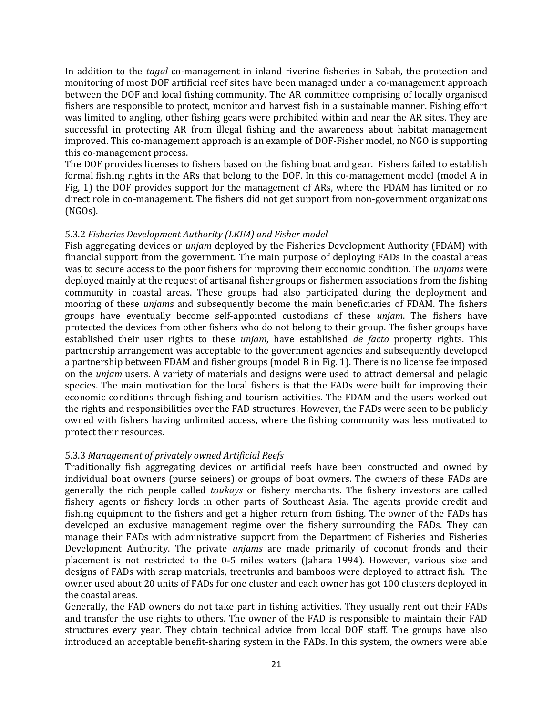In addition to the *tagal* co-management in inland riverine fisheries in Sabah, the protection and monitoring of most DOF artificial reef sites have been managed under a co-management approach between the DOF and local fishing community. The AR committee comprising of locally organised fishers are responsible to protect, monitor and harvest fish in a sustainable manner. Fishing effort was limited to angling, other fishing gears were prohibited within and near the AR sites. They are successful in protecting AR from illegal fishing and the awareness about habitat management improved. This co-management approach is an example of DOF-Fisher model, no NGO is supporting this co-management process.

The DOF provides licenses to fishers based on the fishing boat and gear. Fishers failed to establish formal fishing rights in the ARs that belong to the DOF. In this co-management model (model A in Fig, 1) the DOF provides support for the management of ARs, where the FDAM has limited or no direct role in co-management. The fishers did not get support from non-government organizations (NGOs).

#### 5.3.2 *Fisheries Development Authority (LKIM) and Fisher model*

Fish aggregating devices or *unjam* deployed by the Fisheries Development Authority (FDAM) with financial support from the government. The main purpose of deploying FADs in the coastal areas was to secure access to the poor fishers for improving their economic condition. The *unjams* were deployed mainly at the request of artisanal fisher groups or fishermen associations from the fishing community in coastal areas. These groups had also participated during the deployment and mooring of these *unjam*s and subsequently become the main beneficiaries of FDAM. The fishers groups have eventually become self-appointed custodians of these *unjam*. The fishers have protected the devices from other fishers who do not belong to their group. The fisher groups have established their user rights to these *unjam*, have established *de facto* property rights. This partnership arrangement was acceptable to the government agencies and subsequently developed a partnership between FDAM and fisher groups (model B in Fig. 1). There is no license fee imposed on the *unjam* users. A variety of materials and designs were used to attract demersal and pelagic species. The main motivation for the local fishers is that the FADs were built for improving their economic conditions through fishing and tourism activities. The FDAM and the users worked out the rights and responsibilities over the FAD structures. However, the FADs were seen to be publicly owned with fishers having unlimited access, where the fishing community was less motivated to protect their resources.

## 5.3.3 *Management of privately owned Artificial Reefs*

Traditionally fish aggregating devices or artificial reefs have been constructed and owned by individual boat owners (purse seiners) or groups of boat owners. The owners of these FADs are generally the rich people called *toukays* or fishery merchants. The fishery investors are called fishery agents or fishery lords in other parts of Southeast Asia. The agents provide credit and fishing equipment to the fishers and get a higher return from fishing. The owner of the FADs has developed an exclusive management regime over the fishery surrounding the FADs. They can manage their FADs with administrative support from the Department of Fisheries and Fisheries Development Authority. The private *unjams* are made primarily of coconut fronds and their placement is not restricted to the 0-5 miles waters (Jahara 1994). However, various size and designs of FADs with scrap materials, treetrunks and bamboos were deployed to attract fish. The owner used about 20 units of FADs for one cluster and each owner has got 100 clusters deployed in the coastal areas.

Generally, the FAD owners do not take part in fishing activities. They usually rent out their FADs and transfer the use rights to others. The owner of the FAD is responsible to maintain their FAD structures every year. They obtain technical advice from local DOF staff. The groups have also introduced an acceptable benefit-sharing system in the FADs. In this system, the owners were able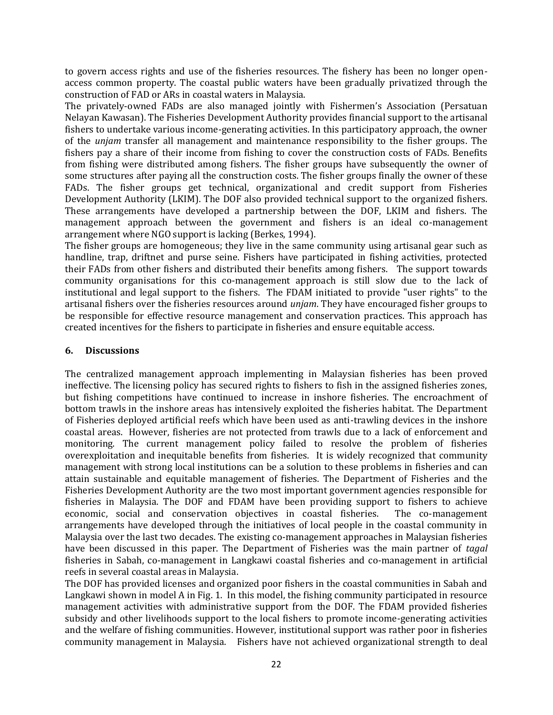to govern access rights and use of the fisheries resources. The fishery has been no longer openaccess common property. The coastal public waters have been gradually privatized through the construction of FAD or ARs in coastal waters in Malaysia.

The privately-owned FADs are also managed jointly with Fishermen's Association (Persatuan Nelayan Kawasan). The Fisheries Development Authority provides financial support to the artisanal fishers to undertake various income-generating activities. In this participatory approach, the owner of the *unjam* transfer all management and maintenance responsibility to the fisher groups. The fishers pay a share of their income from fishing to cover the construction costs of FADs. Benefits from fishing were distributed among fishers. The fisher groups have subsequently the owner of some structures after paying all the construction costs. The fisher groups finally the owner of these FADs. The fisher groups get technical, organizational and credit support from Fisheries Development Authority (LKIM). The DOF also provided technical support to the organized fishers. These arrangements have developed a partnership between the DOF, LKIM and fishers. The management approach between the government and fishers is an ideal co-management arrangement where NGO support is lacking (Berkes, 1994).

The fisher groups are homogeneous; they live in the same community using artisanal gear such as handline, trap, driftnet and purse seine. Fishers have participated in fishing activities, protected their FADs from other fishers and distributed their benefits among fishers. The support towards community organisations for this co-management approach is still slow due to the lack of institutional and legal support to the fishers. The FDAM initiated to provide "user rights" to the artisanal fishers over the fisheries resources around *unjam*. They have encouraged fisher groups to be responsible for effective resource management and conservation practices. This approach has created incentives for the fishers to participate in fisheries and ensure equitable access.

# **6. Discussions**

The centralized management approach implementing in Malaysian fisheries has been proved ineffective. The licensing policy has secured rights to fishers to fish in the assigned fisheries zones, but fishing competitions have continued to increase in inshore fisheries. The encroachment of bottom trawls in the inshore areas has intensively exploited the fisheries habitat. The Department of Fisheries deployed artificial reefs which have been used as anti-trawling devices in the inshore coastal areas. However, fisheries are not protected from trawls due to a lack of enforcement and monitoring. The current management policy failed to resolve the problem of fisheries overexploitation and inequitable benefits from fisheries. It is widely recognized that community management with strong local institutions can be a solution to these problems in fisheries and can attain sustainable and equitable management of fisheries. The Department of Fisheries and the Fisheries Development Authority are the two most important government agencies responsible for fisheries in Malaysia. The DOF and FDAM have been providing support to fishers to achieve economic, social and conservation objectives in coastal fisheries. The co-management arrangements have developed through the initiatives of local people in the coastal community in Malaysia over the last two decades. The existing co-management approaches in Malaysian fisheries have been discussed in this paper. The Department of Fisheries was the main partner of *tagal* fisheries in Sabah, co-management in Langkawi coastal fisheries and co-management in artificial reefs in several coastal areas in Malaysia.

The DOF has provided licenses and organized poor fishers in the coastal communities in Sabah and Langkawi shown in model A in Fig. 1. In this model, the fishing community participated in resource management activities with administrative support from the DOF. The FDAM provided fisheries subsidy and other livelihoods support to the local fishers to promote income-generating activities and the welfare of fishing communities. However, institutional support was rather poor in fisheries community management in Malaysia. Fishers have not achieved organizational strength to deal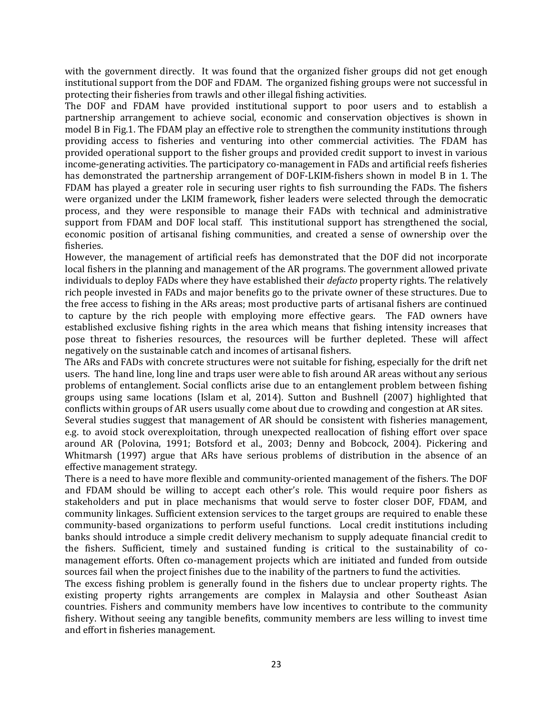with the government directly. It was found that the organized fisher groups did not get enough institutional support from the DOF and FDAM. The organized fishing groups were not successful in protecting their fisheries from trawls and other illegal fishing activities.

The DOF and FDAM have provided institutional support to poor users and to establish a partnership arrangement to achieve social, economic and conservation objectives is shown in model B in Fig.1. The FDAM play an effective role to strengthen the community institutions through providing access to fisheries and venturing into other commercial activities. The FDAM has provided operational support to the fisher groups and provided credit support to invest in various income-generating activities. The participatory co-management in FADs and artificial reefs fisheries has demonstrated the partnership arrangement of DOF-LKIM-fishers shown in model B in 1. The FDAM has played a greater role in securing user rights to fish surrounding the FADs. The fishers were organized under the LKIM framework, fisher leaders were selected through the democratic process, and they were responsible to manage their FADs with technical and administrative support from FDAM and DOF local staff. This institutional support has strengthened the social, economic position of artisanal fishing communities, and created a sense of ownership over the fisheries.

However, the management of artificial reefs has demonstrated that the DOF did not incorporate local fishers in the planning and management of the AR programs. The government allowed private individuals to deploy FADs where they have established their *defacto* property rights. The relatively rich people invested in FADs and major benefits go to the private owner of these structures. Due to the free access to fishing in the ARs areas; most productive parts of artisanal fishers are continued to capture by the rich people with employing more effective gears. The FAD owners have established exclusive fishing rights in the area which means that fishing intensity increases that pose threat to fisheries resources, the resources will be further depleted. These will affect negatively on the sustainable catch and incomes of artisanal fishers.

The ARs and FADs with concrete structures were not suitable for fishing, especially for the drift net users. The hand line, long line and traps user were able to fish around AR areas without any serious problems of entanglement. Social conflicts arise due to an entanglement problem between fishing groups using same locations (Islam et al, 2014). Sutton and Bushnell (2007) highlighted that conflicts within groups of AR users usually come about due to crowding and congestion at AR sites.

Several studies suggest that management of AR should be consistent with fisheries management, e.g. to avoid stock overexploitation, through unexpected reallocation of fishing effort over space around AR (Polovina, 1991; Botsford et al., 2003; Denny and Bobcock, 2004). Pickering and Whitmarsh (1997) argue that ARs have serious problems of distribution in the absence of an effective management strategy.

There is a need to have more flexible and community-oriented management of the fishers. The DOF and FDAM should be willing to accept each other's role. This would require poor fishers as stakeholders and put in place mechanisms that would serve to foster closer DOF, FDAM, and community linkages. Sufficient extension services to the target groups are required to enable these community-based organizations to perform useful functions. Local credit institutions including banks should introduce a simple credit delivery mechanism to supply adequate financial credit to the fishers. Sufficient, timely and sustained funding is critical to the sustainability of comanagement efforts. Often co-management projects which are initiated and funded from outside sources fail when the project finishes due to the inability of the partners to fund the activities.

The excess fishing problem is generally found in the fishers due to unclear property rights. The existing property rights arrangements are complex in Malaysia and other Southeast Asian countries. Fishers and community members have low incentives to contribute to the community fishery. Without seeing any tangible benefits, community members are less willing to invest time and effort in fisheries management.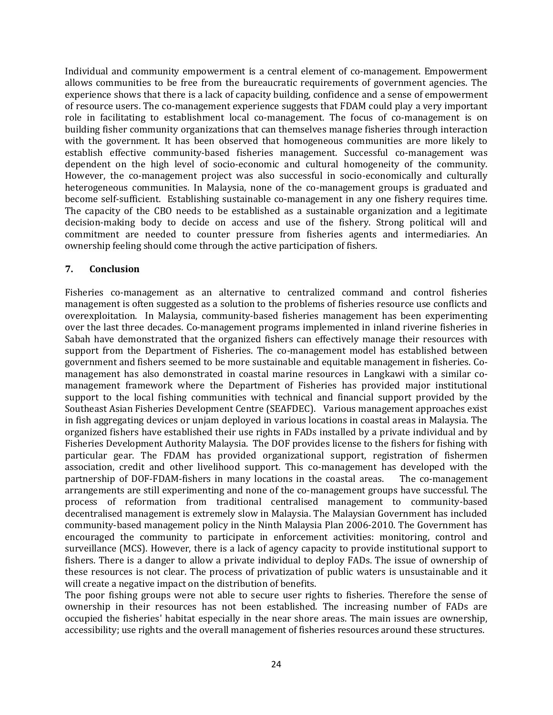Individual and community empowerment is a central element of co-management. Empowerment allows communities to be free from the bureaucratic requirements of government agencies. The experience shows that there is a lack of capacity building, confidence and a sense of empowerment of resource users. The co-management experience suggests that FDAM could play a very important role in facilitating to establishment local co-management. The focus of co-management is on building fisher community organizations that can themselves manage fisheries through interaction with the government. It has been observed that homogeneous communities are more likely to establish effective community-based fisheries management. Successful co-management was dependent on the high level of socio-economic and cultural homogeneity of the community. However, the co-management project was also successful in socio-economically and culturally heterogeneous communities. In Malaysia, none of the co-management groups is graduated and become self-sufficient. Establishing sustainable co-management in any one fishery requires time. The capacity of the CBO needs to be established as a sustainable organization and a legitimate decision-making body to decide on access and use of the fishery. Strong political will and commitment are needed to counter pressure from fisheries agents and intermediaries. An ownership feeling should come through the active participation of fishers.

## **7. Conclusion**

Fisheries co-management as an alternative to centralized command and control fisheries management is often suggested as a solution to the problems of fisheries resource use conflicts and overexploitation. In Malaysia, community-based fisheries management has been experimenting over the last three decades. Co-management programs implemented in inland riverine fisheries in Sabah have demonstrated that the organized fishers can effectively manage their resources with support from the Department of Fisheries. The co-management model has established between government and fishers seemed to be more sustainable and equitable management in fisheries. Comanagement has also demonstrated in coastal marine resources in Langkawi with a similar comanagement framework where the Department of Fisheries has provided major institutional support to the local fishing communities with technical and financial support provided by the Southeast Asian Fisheries Development Centre (SEAFDEC). Various management approaches exist in fish aggregating devices or unjam deployed in various locations in coastal areas in Malaysia. The organized fishers have established their use rights in FADs installed by a private individual and by Fisheries Development Authority Malaysia. The DOF provides license to the fishers for fishing with particular gear. The FDAM has provided organizational support, registration of fishermen association, credit and other livelihood support. This co-management has developed with the partnership of DOF-FDAM-fishers in many locations in the coastal areas. The co-management arrangements are still experimenting and none of the co-management groups have successful. The process of reformation from traditional centralised management to community-based decentralised management is extremely slow in Malaysia. The Malaysian Government has included community-based management policy in the Ninth Malaysia Plan 2006-2010. The Government has encouraged the community to participate in enforcement activities: monitoring, control and surveillance (MCS). However, there is a lack of agency capacity to provide institutional support to fishers. There is a danger to allow a private individual to deploy FADs. The issue of ownership of these resources is not clear. The process of privatization of public waters is unsustainable and it will create a negative impact on the distribution of benefits.

The poor fishing groups were not able to secure user rights to fisheries. Therefore the sense of ownership in their resources has not been established. The increasing number of FADs are occupied the fisheries' habitat especially in the near shore areas. The main issues are ownership, accessibility; use rights and the overall management of fisheries resources around these structures.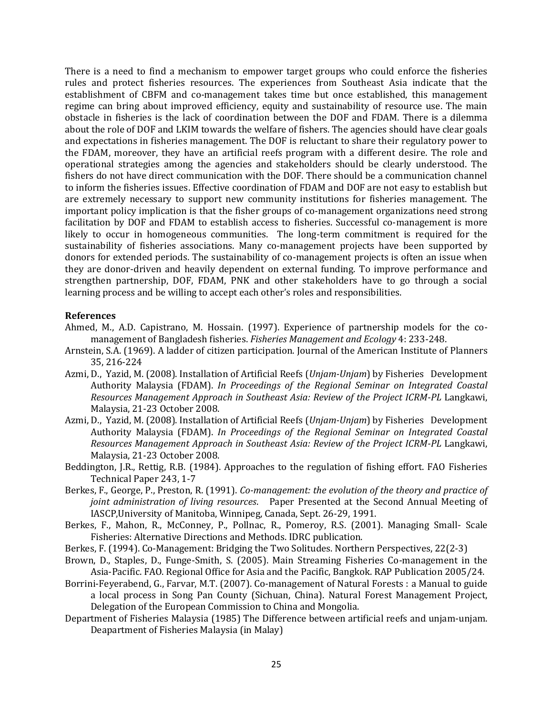There is a need to find a mechanism to empower target groups who could enforce the fisheries rules and protect fisheries resources. The experiences from Southeast Asia indicate that the establishment of CBFM and co-management takes time but once established, this management regime can bring about improved efficiency, equity and sustainability of resource use. The main obstacle in fisheries is the lack of coordination between the DOF and FDAM. There is a dilemma about the role of DOF and LKIM towards the welfare of fishers. The agencies should have clear goals and expectations in fisheries management. The DOF is reluctant to share their regulatory power to the FDAM, moreover, they have an artificial reefs program with a different desire. The role and operational strategies among the agencies and stakeholders should be clearly understood. The fishers do not have direct communication with the DOF. There should be a communication channel to inform the fisheries issues. Effective coordination of FDAM and DOF are not easy to establish but are extremely necessary to support new community institutions for fisheries management. The important policy implication is that the fisher groups of co-management organizations need strong facilitation by DOF and FDAM to establish access to fisheries. Successful co-management is more likely to occur in homogeneous communities. The long-term commitment is required for the sustainability of fisheries associations. Many co-management projects have been supported by donors for extended periods. The sustainability of co-management projects is often an issue when they are donor-driven and heavily dependent on external funding. To improve performance and strengthen partnership, DOF, FDAM, PNK and other stakeholders have to go through a social learning process and be willing to accept each other's roles and responsibilities.

#### **References**

- Ahmed, M., A.D. Capistrano, M. Hossain. (1997). Experience of partnership models for the comanagement of Bangladesh fisheries. *Fisheries Management and Ecology* 4: 233-248.
- Arnstein, S.A. (1969). A ladder of citizen participation. Journal of the American Institute of Planners 35, 216-224
- Azmi, D., Yazid, M. (2008). Installation of Artificial Reefs (*Unjam-Unjam*) by Fisheries Development Authority Malaysia (FDAM). *In Proceedings of the Regional Seminar on Integrated Coastal Resources Management Approach in Southeast Asia: Review of the Project ICRM-PL* Langkawi, Malaysia, 21-23 October 2008.
- Azmi, D., Yazid, M. (2008). Installation of Artificial Reefs (*Unjam-Unjam*) by Fisheries Development Authority Malaysia (FDAM). *In Proceedings of the Regional Seminar on Integrated Coastal Resources Management Approach in Southeast Asia: Review of the Project ICRM-PL* Langkawi, Malaysia, 21-23 October 2008.
- Beddington, J.R., Rettig, R.B. (1984). Approaches to the regulation of fishing effort. FAO Fisheries Technical Paper 243, 1-7
- Berkes, F., George, P., Preston, R. (1991). *Co-management: the evolution of the theory and practice of joint administration of living resources*. Paper Presented at the Second Annual Meeting of IASCP,University of Manitoba, Winnipeg, Canada, Sept. 26-29, 1991.
- Berkes, F., Mahon, R., McConney, P., Pollnac, R., Pomeroy, R.S. (2001). Managing Small- Scale Fisheries: Alternative Directions and Methods. IDRC publication.
- Berkes, F. (1994). Co-Management: Bridging the Two Solitudes. Northern Perspectives, 22(2-3)
- Brown, D., Staples, D., Funge-Smith, S. (2005). Main Streaming Fisheries Co-management in the Asia-Pacific. FAO. Regional Office for Asia and the Pacific, Bangkok. RAP Publication 2005/24.
- Borrini-Feyerabend, G., Farvar, M.T. (2007). Co-management of Natural Forests : a Manual to guide a local process in Song Pan County (Sichuan, China). Natural Forest Management Project, Delegation of the European Commission to China and Mongolia.
- Department of Fisheries Malaysia (1985) The Difference between artificial reefs and unjam-unjam. Deapartment of Fisheries Malaysia (in Malay)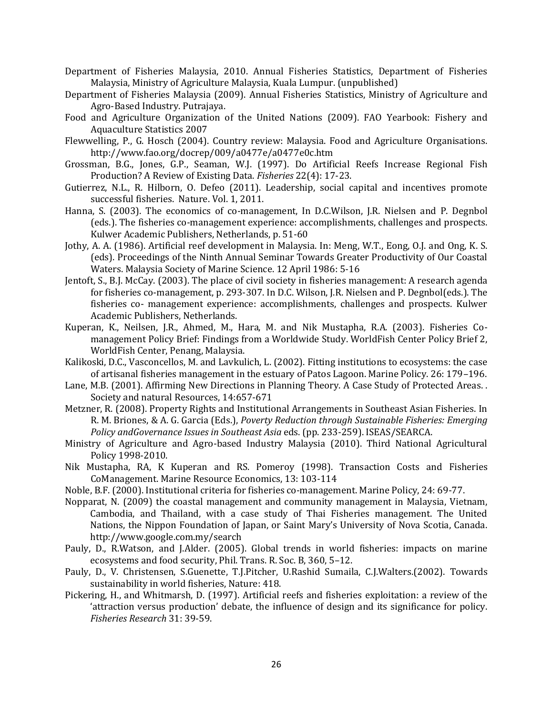- Department of Fisheries Malaysia, 2010. Annual Fisheries Statistics, Department of Fisheries Malaysia, Ministry of Agriculture Malaysia, Kuala Lumpur. (unpublished)
- Department of Fisheries Malaysia (2009). Annual Fisheries Statistics, Ministry of Agriculture and Agro-Based Industry. Putrajaya.
- Food and Agriculture Organization of the United Nations (2009). FAO Yearbook: Fishery and Aquaculture Statistics 2007
- Flewwelling, P., G. Hosch (2004). Country review: Malaysia. Food and Agriculture Organisations. <http://www.fao.org/docrep/009/a0477e/a0477e0c.htm>
- Grossman, B.G., Jones, G.P., Seaman, W.J. (1997). Do Artificial Reefs Increase Regional Fish Production? A Review of Existing Data. *Fisheries* 22(4): 17-23.
- Gutierrez, N.L., R. Hilborn, O. Defeo (2011). Leadership, social capital and incentives promote successful fisheries. Nature. Vol. 1, 2011.
- Hanna, S. (2003). The economics of co-management, In D.C.Wilson, J.R. Nielsen and P. Degnbol (eds.). The fisheries co-management experience: accomplishments, challenges and prospects. Kulwer Academic Publishers, Netherlands, p. 51-60
- Jothy, A. A. (1986). Artificial reef development in Malaysia. In: Meng, W.T., Eong, O.J. and Ong, K. S. (eds). Proceedings of the Ninth Annual Seminar Towards Greater Productivity of Our Coastal Waters. Malaysia Society of Marine Science. 12 April 1986: 5-16
- Jentoft, S., B.J. McCay. (2003). The place of civil society in fisheries management: A research agenda for fisheries co-management, p. 293-307. In D.C. Wilson, J.R. Nielsen and P. Degnbol(eds.). The fisheries co- management experience: accomplishments, challenges and prospects. Kulwer Academic Publishers, Netherlands.
- Kuperan, K., Neilsen, J.R., Ahmed, M., Hara, M. and Nik Mustapha, R.A. (2003). Fisheries Comanagement Policy Brief: Findings from a Worldwide Study. WorldFish Center Policy Brief 2, WorldFish Center, Penang, Malaysia.
- Kalikoski, D.C., Vasconcellos, M. and Lavkulich, L. (2002). Fitting institutions to ecosystems: the case of artisanal fisheries management in the estuary of Patos Lagoon. Marine Policy. 26: 179–196.
- Lane, M.B. (2001). Affirming New Directions in Planning Theory. A Case Study of Protected Areas. . Society and natural Resources, 14:657-671
- Metzner, R. (2008). Property Rights and Institutional Arrangements in Southeast Asian Fisheries. In R. M. Briones, & A. G. Garcia (Eds.), *Poverty Reduction through Sustainable Fisheries: Emerging Policy andGovernance Issues in Southeast Asia* eds. (pp. 233-259). ISEAS/SEARCA.
- Ministry of Agriculture and Agro-based Industry Malaysia (2010). Third National Agricultural Policy 1998-2010.
- Nik Mustapha, RA, K Kuperan and RS. Pomeroy (1998). Transaction Costs and Fisheries CoManagement. Marine Resource Economics, 13: 103-114
- Noble, B.F. (2000). Institutional criteria for fisheries co-management. Marine Policy, 24: 69-77.
- Nopparat, N. (2009) the coastal management and community management in Malaysia, Vietnam, Cambodia, and Thailand, with a case study of Thai Fisheries management. The United Nations, the Nippon Foundation of Japan, or Saint Mary's University of Nova Scotia, Canada. <http://www.google.com.my/search>
- Pauly, D., R.Watson, and J.Alder. (2005). Global trends in world fisheries: impacts on marine ecosystems and food security, Phil. Trans. R. Soc. B, 360, 5–12.
- Pauly, D., V. Christensen, S.Guenette, T.J.Pitcher, U.Rashid Sumaila, C.J.Walters.(2002). Towards sustainability in world fisheries, Nature: 418.
- Pickering, H., and Whitmarsh, D. (1997). Artificial reefs and fisheries exploitation: a review of the 'attraction versus production' debate, the influence of design and its significance for policy. *Fisheries Research* 31: 39-59.